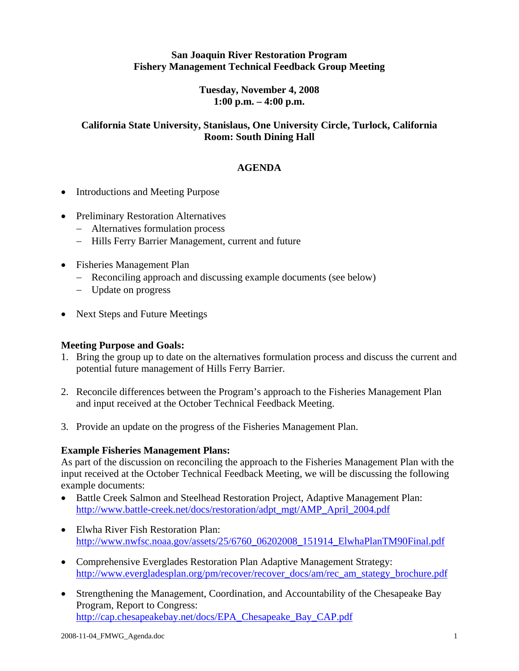## **San Joaquin River Restoration Program Fishery Management Technical Feedback Group Meeting**

**Tuesday, November 4, 2008 1:00 p.m. – 4:00 p.m.** 

### **California State University, Stanislaus, One University Circle, Turlock, California Room: South Dining Hall**

## **AGENDA**

- Introductions and Meeting Purpose
- Preliminary Restoration Alternatives
	- − Alternatives formulation process
	- − Hills Ferry Barrier Management, current and future
- Fisheries Management Plan
	- − Reconciling approach and discussing example documents (see below)
	- − Update on progress
- Next Steps and Future Meetings

#### **Meeting Purpose and Goals:**

- 1. Bring the group up to date on the alternatives formulation process and discuss the current and potential future management of Hills Ferry Barrier.
- 2. Reconcile differences between the Program's approach to the Fisheries Management Plan and input received at the October Technical Feedback Meeting.
- 3. Provide an update on the progress of the Fisheries Management Plan.

#### **Example Fisheries Management Plans:**

As part of the discussion on reconciling the approach to the Fisheries Management Plan with the input received at the October Technical Feedback Meeting, we will be discussing the following example documents:

- Battle Creek Salmon and Steelhead Restoration Project, Adaptive Management Plan: http://www.battle-creek.net/docs/restoration/adpt\_mgt/AMP\_April\_2004.pdf
- Elwha River Fish Restoration Plan: http://www.nwfsc.noaa.gov/assets/25/6760\_06202008\_151914\_ElwhaPlanTM90Final.pdf
- Comprehensive Everglades Restoration Plan Adaptive Management Strategy: http://www.evergladesplan.org/pm/recover/recover\_docs/am/rec\_am\_stategy\_brochure.pdf
- Strengthening the Management, Coordination, and Accountability of the Chesapeake Bay Program, Report to Congress: http://cap.chesapeakebay.net/docs/EPA\_Chesapeake\_Bay\_CAP.pdf